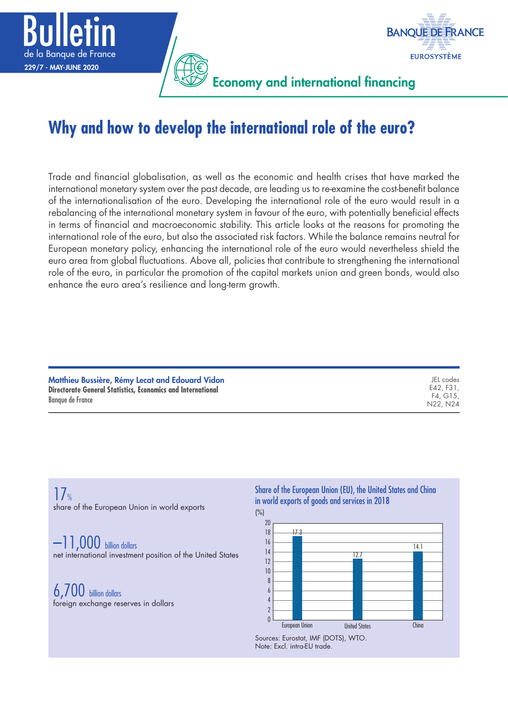



Economy and international financing

# **Why and how to develop the international role of the euro?**

Trade and financial globalisation, as well as the economic and health crises that have marked the international monetary system over the past decade, are leading us to re-examine the cost-benefit balance of the internationalisation of the euro. Developing the international role of the euro would result in a rebalancing of the international monetary system in favour of the euro, with potentially beneficial effects in terms of financial and macroeconomic stability. This article looks at the reasons for promoting the international role of the euro, but also the associated risk factors. While the balance remains neutral for European monetary policy, enhancing the international role of the euro would nevertheless shield the euro area from global fluctuations. Above all, policies that contribute to strengthening the international role of the euro, in particular the promotion of the capital markets union and green bonds, would also enhance the euro area's resilience and long-term growth.

| IEL codes<br>E42, F31.<br>F4. G15.<br>N22, N24 |
|------------------------------------------------|
|                                                |
|                                                |

 $17$ % share of the European Union in world exports

–11,000 billion dollars net international investment position of the United States

6,700 billion dollars foreign exchange reserves in dollars Share of the European Union (EU), the United States and China in world exports of goods and services in 2018



Note: Excl. intra-EU trade.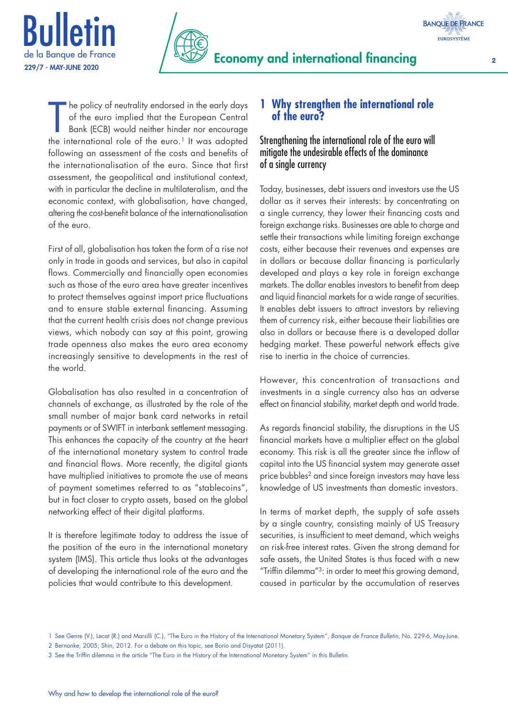



**BANQUE DE FRANCE EUROSYSTÈME** 

The policy of neutrality endorsed in the early days<br>of the euro implied that the European Central<br>Bank (ECB) would neither hinder nor encourage<br>the international role of the euro.<sup>1</sup> It was adopted he policy of neutrality endorsed in the early days of the euro implied that the European Central Bank (ECB) would neither hinder nor encourage following an assessment of the costs and benefits of the internationalisation of the euro. Since that first assessment, the geopolitical and institutional context, with in particular the decline in multilateralism, and the economic context, with globalisation, have changed, altering the cost-benefit balance of the internationalisation of the euro.

First of all, globalisation has taken the form of a rise not only in trade in goods and services, but also in capital flows. Commercially and financially open economies such as those of the euro area have greater incentives to protect themselves against import price fluctuations and to ensure stable external financing. Assuming that the current health crisis does not change previous views, which nobody can say at this point, growing trade openness also makes the euro area economy increasingly sensitive to developments in the rest of the world.

Globalisation has also resulted in a concentration of channels of exchange, as illustrated by the role of the small number of major bank card networks in retail payments or of SWIFT in interbank settlement messaging. This enhances the capacity of the country at the heart of the international monetary system to control trade and financial flows. More recently, the digital giants have multiplied initiatives to promote the use of means of payment sometimes referred to as "stablecoins", but in fact closer to crypto assets, based on the global networking effect of their digital platforms.

It is therefore legitimate today to address the issue of the position of the euro in the international monetary system (IMS). This article thus looks at the advantages of developing the international role of the euro and the policies that would contribute to this development.

# **1 Why strengthen the international role of the euro?**

# Strengthening the international role of the euro will mitigate the undesirable effects of the dominance of a single currency

Today, businesses, debt issuers and investors use the US dollar as it serves their interests: by concentrating on a single currency, they lower their financing costs and foreign exchange risks. Businesses are able to charge and settle their transactions while limiting foreign exchange costs, either because their revenues and expenses are in dollars or because dollar financing is particularly developed and plays a key role in foreign exchange markets. The dollar enables investors to benefit from deep and liquid financial markets for a wide range of securities. It enables debt issuers to attract investors by relieving them of currency risk, either because their liabilities are also in dollars or because there is a developed dollar hedging market. These powerful network effects give rise to inertia in the choice of currencies.

However, this concentration of transactions and investments in a single currency also has an adverse effect on financial stability, market depth and world trade.

As regards financial stability, the disruptions in the US financial markets have a multiplier effect on the global economy. This risk is all the greater since the inflow of capital into the US financial system may generate asset price bubbles<sup>2</sup> and since foreign investors may have less knowledge of US investments than domestic investors.

In terms of market depth, the supply of safe assets by a single country, consisting mainly of US Treasury securities, is insufficient to meet demand, which weighs on risk-free interest rates. Given the strong demand for safe assets, the United States is thus faced with a new "Triffin dilemma"3: in order to meet this growing demand, caused in particular by the accumulation of reserves

<sup>1</sup> See Genre (V.), Lecat (R.) and Marsilli (C.), "The Euro in the History of the International Monetary System", *Banque de France Bulletin*, No. 229-6, May-June. 2 Bernanke, 2005; Shin, 2012. For a debate on this topic, see Borio and Disyatat (2011).

<sup>3</sup> See the Triffin dilemma in the article "The Euro in the History of the International Monetary System" in this Bulletin.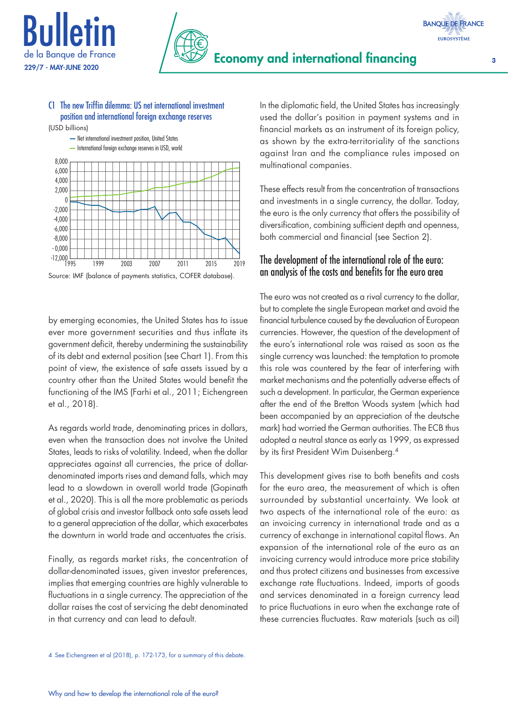



### C1 The new Triffin dilemma: US net international investment position and international foreign exchange reserves

(USD billions)



Source: IMF (balance of payments statistics, COFER database).

by emerging economies, the United States has to issue ever more government securities and thus inflate its government deficit, thereby undermining the sustainability of its debt and external position (see Chart 1). From this point of view, the existence of safe assets issued by a country other than the United States would benefit the functioning of the IMS (Farhi et al., 2011; Eichengreen et al., 2018).

As regards world trade, denominating prices in dollars, even when the transaction does not involve the United States, leads to risks of volatility. Indeed, when the dollar appreciates against all currencies, the price of dollardenominated imports rises and demand falls, which may lead to a slowdown in overall world trade (Gopinath et al., 2020). This is all the more problematic as periods of global crisis and investor fallback onto safe assets lead to a general appreciation of the dollar, which exacerbates the downturn in world trade and accentuates the crisis.

Finally, as regards market risks, the concentration of dollar-denominated issues, given investor preferences, implies that emerging countries are highly vulnerable to fluctuations in a single currency. The appreciation of the dollar raises the cost of servicing the debt denominated in that currency and can lead to default.

In the diplomatic field, the United States has increasingly used the dollar's position in payment systems and in financial markets as an instrument of its foreign policy, as shown by the extra-territoriality of the sanctions against Iran and the compliance rules imposed on multinational companies.

These effects result from the concentration of transactions and investments in a single currency, the dollar. Today, the euro is the only currency that offers the possibility of diversification, combining sufficient depth and openness, both commercial and financial (see Section 2).

# The development of the international role of the euro: an analysis of the costs and benefits for the euro area

The euro was not created as a rival currency to the dollar, but to complete the single European market and avoid the financial turbulence caused by the devaluation of European currencies. However, the question of the development of the euro's international role was raised as soon as the single currency was launched: the temptation to promote this role was countered by the fear of interfering with market mechanisms and the potentially adverse effects of such a development. In particular, the German experience after the end of the Bretton Woods system (which had been accompanied by an appreciation of the deutsche mark) had worried the German authorities. The ECB thus adopted a neutral stance as early as 1999, as expressed by its first President Wim Duisenberg.4

This development gives rise to both benefits and costs for the euro area, the measurement of which is often surrounded by substantial uncertainty. We look at two aspects of the international role of the euro: as an invoicing currency in international trade and as a currency of exchange in international capital flows. An expansion of the international role of the euro as an invoicing currency would introduce more price stability and thus protect citizens and businesses from excessive exchange rate fluctuations. Indeed, imports of goods and services denominated in a foreign currency lead to price fluctuations in euro when the exchange rate of these currencies fluctuates. Raw materials (such as oil)

**BANQUE DE FRANCE EUROSYSTÈME**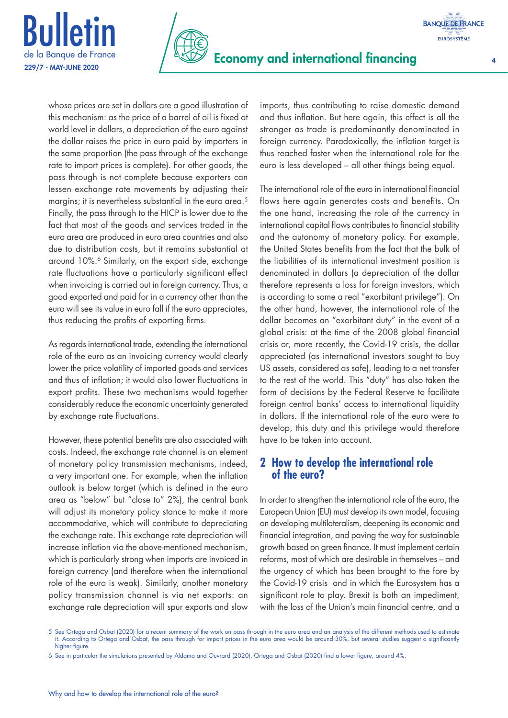



whose prices are set in dollars are a good illustration of this mechanism: as the price of a barrel of oil is fixed at world level in dollars, a depreciation of the euro against the dollar raises the price in euro paid by importers in the same proportion (the pass through of the exchange rate to import prices is complete). For other goods, the pass through is not complete because exporters can lessen exchange rate movements by adjusting their margins; it is nevertheless substantial in the euro area.<sup>5</sup> Finally, the pass through to the HICP is lower due to the fact that most of the goods and services traded in the euro area are produced in euro area countries and also due to distribution costs, but it remains substantial at around 10%.<sup>6</sup> Similarly, on the export side, exchange rate fluctuations have a particularly significant effect when invoicing is carried out in foreign currency. Thus, a good exported and paid for in a currency other than the euro will see its value in euro fall if the euro appreciates, thus reducing the profits of exporting firms.

As regards international trade, extending the international role of the euro as an invoicing currency would clearly lower the price volatility of imported goods and services and thus of inflation; it would also lower fluctuations in export profits. These two mechanisms would together considerably reduce the economic uncertainty generated by exchange rate fluctuations.

However, these potential benefits are also associated with costs. Indeed, the exchange rate channel is an element of monetary policy transmission mechanisms, indeed, a very important one. For example, when the inflation outlook is below target (which is defined in the euro area as "below" but "close to" 2%), the central bank will adjust its monetary policy stance to make it more accommodative, which will contribute to depreciating the exchange rate. This exchange rate depreciation will increase inflation via the above-mentioned mechanism, which is particularly strong when imports are invoiced in foreign currency (and therefore when the international role of the euro is weak). Similarly, another monetary policy transmission channel is via net exports: an exchange rate depreciation will spur exports and slow imports, thus contributing to raise domestic demand and thus inflation. But here again, this effect is all the stronger as trade is predominantly denominated in foreign currency. Paradoxically, the inflation target is thus reached faster when the international role for the euro is less developed – all other things being equal.

The international role of the euro in international financial flows here again generates costs and benefits. On the one hand, increasing the role of the currency in international capital flows contributes to financial stability and the autonomy of monetary policy. For example, the United States benefits from the fact that the bulk of the liabilities of its international investment position is denominated in dollars (a depreciation of the dollar therefore represents a loss for foreign investors, which is according to some a real "exorbitant privilege"). On the other hand, however, the international role of the dollar becomes an "exorbitant duty" in the event of a global crisis: at the time of the 2008 global financial crisis or, more recently, the Covid-19 crisis, the dollar appreciated (as international investors sought to buy US assets, considered as safe), leading to a net transfer to the rest of the world. This "duty" has also taken the form of decisions by the Federal Reserve to facilitate foreign central banks' access to international liquidity in dollars. If the international role of the euro were to develop, this duty and this privilege would therefore have to be taken into account.

# **2 How to develop the international role of the euro?**

In order to strengthen the international role of the euro, the European Union (EU) must develop its own model, focusing on developing multilateralism, deepening its economic and financial integration, and paving the way for sustainable growth based on green finance. It must implement certain reforms, most of which are desirable in themselves – and the urgency of which has been brought to the fore by the Covid-19 crisis and in which the Eurosystem has a significant role to play. Brexit is both an impediment, with the loss of the Union's main financial centre, and a

5 See Ortega and Osbat (2020) for a recent summary of the work on pass through in the euro area and an analysis of the different methods used to estimate it. According to Ortega and Osbat, the pass through for import prices in the euro area would be around 30%, but several studies suggest a significantly higher figure

<sup>6</sup> See in particular the simulations presented by Aldama and Ouvrard (2020). Ortega and Osbat (2020) find a lower figure, around 4%.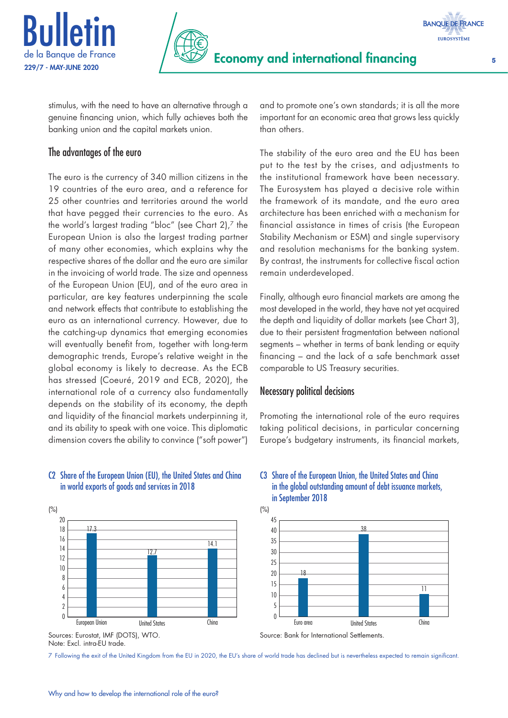



stimulus, with the need to have an alternative through a genuine financing union, which fully achieves both the banking union and the capital markets union.

# The advantages of the euro

The euro is the currency of 340 million citizens in the 19 countries of the euro area, and a reference for 25 other countries and territories around the world that have pegged their currencies to the euro. As the world's largest trading "bloc" (see Chart 2),7 the European Union is also the largest trading partner of many other economies, which explains why the respective shares of the dollar and the euro are similar in the invoicing of world trade. The size and openness of the European Union (EU), and of the euro area in particular, are key features underpinning the scale and network effects that contribute to establishing the euro as an international currency. However, due to the catching-up dynamics that emerging economies will eventually benefit from, together with long-term demographic trends, Europe's relative weight in the global economy is likely to decrease. As the ECB has stressed (Coeuré, 2019 and ECB, 2020), the international role of a currency also fundamentally depends on the stability of its economy, the depth and liquidity of the financial markets underpinning it, and its ability to speak with one voice. This diplomatic dimension covers the ability to convince ("soft power")

#### C2 Share of the European Union (EU), the United States and China in world exports of goods and services in 2018



Sources: Eurostat, IMF (DOTS), WTO. Note: Excl. intra-EU trade.

7 Following the exit of the United Kingdom from the EU in 2020, the EU's share of world trade has declined but is nevertheless expected to remain significant.



and to promote one's own standards; it is all the more important for an economic area that grows less quickly than others.

The stability of the euro area and the EU has been put to the test by the crises, and adjustments to the institutional framework have been necessary. The Eurosystem has played a decisive role within the framework of its mandate, and the euro area architecture has been enriched with a mechanism for financial assistance in times of crisis (the European Stability Mechanism or ESM) and single supervisory and resolution mechanisms for the banking system. By contrast, the instruments for collective fiscal action remain underdeveloped.

Finally, although euro financial markets are among the most developed in the world, they have not yet acquired the depth and liquidity of dollar markets (see Chart 3), due to their persistent fragmentation between national segments – whether in terms of bank lending or equity financing – and the lack of a safe benchmark asset comparable to US Treasury securities.

## Necessary political decisions

Promoting the international role of the euro requires taking political decisions, in particular concerning Europe's budgetary instruments, its financial markets,

#### C3 Share of the European Union, the United States and China in the global outstanding amount of debt issuance markets, in September 2018

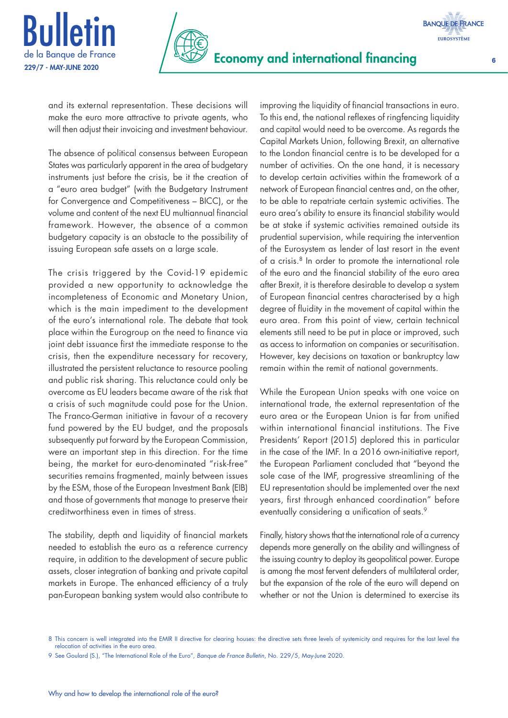



and its external representation. These decisions will make the euro more attractive to private agents, who will then adjust their invoicing and investment behaviour.

The absence of political consensus between European States was particularly apparent in the area of budgetary instruments just before the crisis, be it the creation of a "euro area budget" (with the Budgetary Instrument for Convergence and Competitiveness – BICC), or the volume and content of the next EU multiannual financial framework. However, the absence of a common budgetary capacity is an obstacle to the possibility of issuing European safe assets on a large scale.

The crisis triggered by the Covid-19 epidemic provided a new opportunity to acknowledge the incompleteness of Economic and Monetary Union, which is the main impediment to the development of the euro's international role. The debate that took place within the Eurogroup on the need to finance via joint debt issuance first the immediate response to the crisis, then the expenditure necessary for recovery, illustrated the persistent reluctance to resource pooling and public risk sharing. This reluctance could only be overcome as EU leaders became aware of the risk that a crisis of such magnitude could pose for the Union. The Franco-German initiative in favour of a recovery fund powered by the EU budget, and the proposals subsequently put forward by the European Commission, were an important step in this direction. For the time being, the market for euro-denominated "risk-free" securities remains fragmented, mainly between issues by the ESM, those of the European Investment Bank (EIB) and those of governments that manage to preserve their creditworthiness even in times of stress.

The stability, depth and liquidity of financial markets needed to establish the euro as a reference currency require, in addition to the development of secure public assets, closer integration of banking and private capital markets in Europe. The enhanced efficiency of a truly pan-European banking system would also contribute to improving the liquidity of financial transactions in euro. To this end, the national reflexes of ringfencing liquidity and capital would need to be overcome. As regards the Capital Markets Union, following Brexit, an alternative to the London financial centre is to be developed for a number of activities. On the one hand, it is necessary to develop certain activities within the framework of a network of European financial centres and, on the other, to be able to repatriate certain systemic activities. The euro area's ability to ensure its financial stability would be at stake if systemic activities remained outside its prudential supervision, while requiring the intervention of the Eurosystem as lender of last resort in the event of a crisis.8 In order to promote the international role of the euro and the financial stability of the euro area after Brexit, it is therefore desirable to develop a system of European financial centres characterised by a high degree of fluidity in the movement of capital within the euro area. From this point of view, certain technical elements still need to be put in place or improved, such as access to information on companies or securitisation. However, key decisions on taxation or bankruptcy law remain within the remit of national governments.

While the European Union speaks with one voice on international trade, the external representation of the euro area or the European Union is far from unified within international financial institutions. The Five Presidents' Report (2015) deplored this in particular in the case of the IMF. In a 2016 own-initiative report, the European Parliament concluded that "beyond the sole case of the IMF, progressive streamlining of the EU representation should be implemented over the next years, first through enhanced coordination" before eventually considering a unification of seats.<sup>9</sup>

Finally, history shows that the international role of a currency depends more generally on the ability and willingness of the issuing country to deploy its geopolitical power. Europe is among the most fervent defenders of multilateral order, but the expansion of the role of the euro will depend on whether or not the Union is determined to exercise its

**BANQUE DE FRANCE EUROSYSTÈME** 

<sup>8</sup> This concern is well integrated into the EMIR II directive for clearing houses: the directive sets three levels of systemicity and requires for the last level the relocation of activities in the euro area.

<sup>9</sup> See Goulard (S.), "The International Role of the Euro", *Banque de France Bulletin*, No. 229/5, May-June 2020.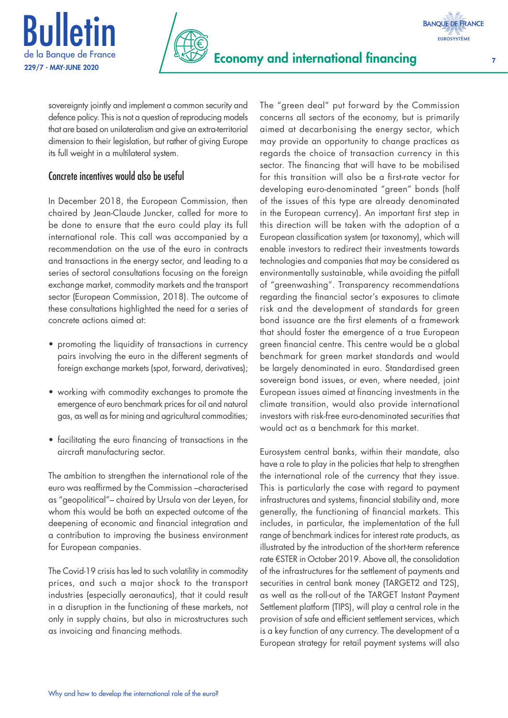



sovereignty jointly and implement a common security and defence policy. This is not a question of reproducing models that are based on unilateralism and give an extra-territorial dimension to their legislation, but rather of giving Europe its full weight in a multilateral system.

# Concrete incentives would also be useful

In December 2018, the European Commission, then chaired by Jean-Claude Juncker, called for more to be done to ensure that the euro could play its full international role. This call was accompanied by a recommendation on the use of the euro in contracts and transactions in the energy sector, and leading to a series of sectoral consultations focusing on the foreign exchange market, commodity markets and the transport sector (European Commission, 2018). The outcome of these consultations highlighted the need for a series of concrete actions aimed at:

- promoting the liquidity of transactions in currency pairs involving the euro in the different segments of foreign exchange markets (spot, forward, derivatives);
- working with commodity exchanges to promote the emergence of euro benchmark prices for oil and natural gas, as well as for mining and agricultural commodities;
- facilitating the euro financing of transactions in the aircraft manufacturing sector.

The ambition to strengthen the international role of the euro was reaffirmed by the Commission –characterised as "geopolitical"– chaired by Ursula von der Leyen, for whom this would be both an expected outcome of the deepening of economic and financial integration and a contribution to improving the business environment for European companies.

The Covid-19 crisis has led to such volatility in commodity prices, and such a major shock to the transport industries (especially aeronautics), that it could result in a disruption in the functioning of these markets, not only in supply chains, but also in microstructures such as invoicing and financing methods.

The "green deal" put forward by the Commission concerns all sectors of the economy, but is primarily aimed at decarbonising the energy sector, which may provide an opportunity to change practices as regards the choice of transaction currency in this sector. The financing that will have to be mobilised for this transition will also be a first-rate vector for developing euro-denominated "green" bonds (half of the issues of this type are already denominated in the European currency). An important first step in this direction will be taken with the adoption of a European classification system (or taxonomy), which will enable investors to redirect their investments towards technologies and companies that may be considered as environmentally sustainable, while avoiding the pitfall of "greenwashing". Transparency recommendations regarding the financial sector's exposures to climate risk and the development of standards for green bond issuance are the first elements of a framework that should foster the emergence of a true European green financial centre. This centre would be a global benchmark for green market standards and would be largely denominated in euro. Standardised green sovereign bond issues, or even, where needed, joint European issues aimed at financing investments in the climate transition, would also provide international investors with risk-free euro-denominated securities that would act as a benchmark for this market.

Eurosystem central banks, within their mandate, also have a role to play in the policies that help to strengthen the international role of the currency that they issue. This is particularly the case with regard to payment infrastructures and systems, financial stability and, more generally, the functioning of financial markets. This includes, in particular, the implementation of the full range of benchmark indices for interest rate products, as illustrated by the introduction of the short-term reference rate €STER in October 2019. Above all, the consolidation of the infrastructures for the settlement of payments and securities in central bank money (TARGET2 and T2S), as well as the roll-out of the TARGET Instant Payment Settlement platform (TIPS), will play a central role in the provision of safe and efficient settlement services, which is a key function of any currency. The development of a European strategy for retail payment systems will also

**EUROSYSTÈME**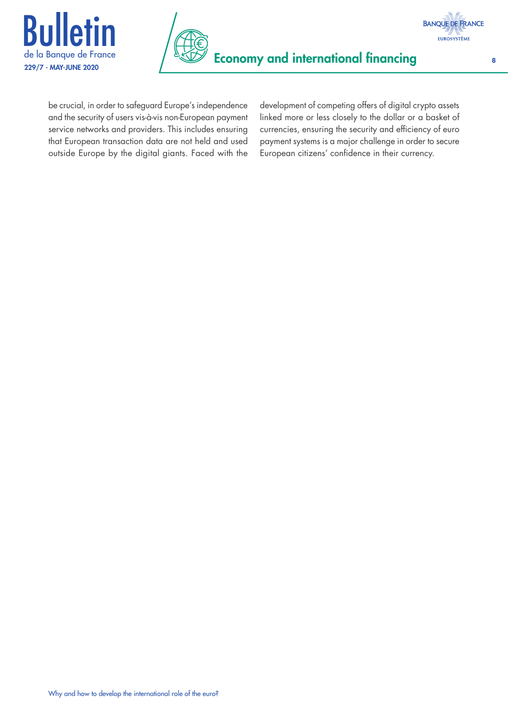



be crucial, in order to safeguard Europe's independence and the security of users vis-à-vis non-European payment service networks and providers. This includes ensuring that European transaction data are not held and used outside Europe by the digital giants. Faced with the development of competing offers of digital crypto assets linked more or less closely to the dollar or a basket of currencies, ensuring the security and efficiency of euro payment systems is a major challenge in order to secure European citizens' confidence in their currency.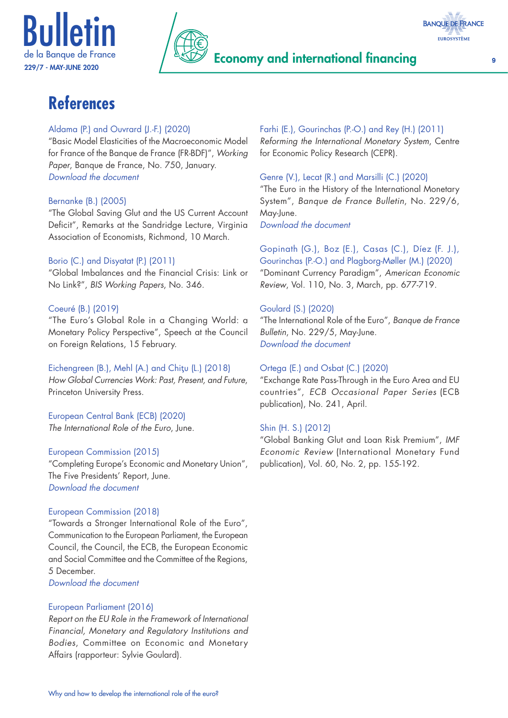





# **References**

### Aldama (P.) and Ouvrard (J.-F.) (2020)

"Basic Model Elasticities of the Macroeconomic Model for France of the Banque de France (FR-BDF)", *Working Paper*, Banque de France, No. 750, January. *[Download the document](https://publications.banque-france.fr/sites/default/files/medias/documents/wp750_en.pdf)*

### Bernanke (B.) (2005)

"The Global Saving Glut and the US Current Account Deficit", Remarks at the Sandridge Lecture, Virginia Association of Economists, Richmond, 10 March.

## Borio (C.) and Disyatat (P.) (2011)

"Global Imbalances and the Financial Crisis: Link or No Link?", *BIS Working Papers*, No. 346.

## Coeuré (B.) (2019)

"The Euro's Global Role in a Changing World: a Monetary Policy Perspective", Speech at the Council on Foreign Relations, 15 February.

Eichengreen (B.), Mehl (A.) and Chitu (L.) (2018) *How Global Currencies Work: Past, Present, and Future*, Princeton University Press.

European Central Bank (ECB) (2020) *The International Role of the Euro*, June.

#### European Commission (2015)

"Completing Europe's Economic and Monetary Union", The Five Presidents' Report, June. *[Download the document](https://ec.europa.eu/commission/sites/beta-political/files/5-presidents-report_en.pdf)*

#### European Commission (2018)

"Towards a Stronger International Role of the Euro", Communication to the European Parliament, the European Council, the Council, the ECB, the European Economic and Social Committee and the Committee of the Regions, 5 December.

### *[Download the document](https://ec.europa.eu/commission/sites/beta-political/files/communication_-_towards_a_stronger_international_role_of_the_euro.pdf)*

#### European Parliament (2016)

*Report on the EU Role in the Framework of International Financial, Monetary and Regulatory Institutions and Bodies*, Committee on Economic and Monetary Affairs (rapporteur: Sylvie Goulard).

## Farhi (E.), Gourinchas (P.-O.) and Rey (H.) (2011)

*Reforming the International Monetary System*, Centre for Economic Policy Research (CEPR).

#### Genre (V.), Lecat (R.) and Marsilli (C.) (2020)

"The Euro in the History of the International Monetary System", *Banque de France Bulletin*, No. 229/6, May-June.

*[Download the document](https://publications.banque-france.fr/sites/default/files/medias/documents/820154_bdf229-6_en.pdf)*

### Gopinath (G.), Boz (E.), Casas (C.), Díez (F. J.), Gourinchas (P.-O.) and Plagborg-Møller (M.) (2020) "Dominant Currency Paradigm", *American Economic Review*, Vol. 110, No. 3, March, pp. 677-719.

### Goulard (S.) (2020)

"The International Role of the Euro", *Banque de France Bulletin*, No. 229/5, May-June. *[Download the document](https://publications.banque-france.fr/sites/default/files/medias/documents/820154_bdf229-5_en.pdf)*

#### Ortega (E.) and Osbat (C.) (2020)

"Exchange Rate Pass-Through in the Euro Area and EU countries", *ECB Occasional Paper Series* (ECB publication), No. 241, April.

## Shin (H. S.) (2012)

"Global Banking Glut and Loan Risk Premium", *IMF Economic Review* (International Monetary Fund publication), Vol. 60, No. 2, pp. 155-192.